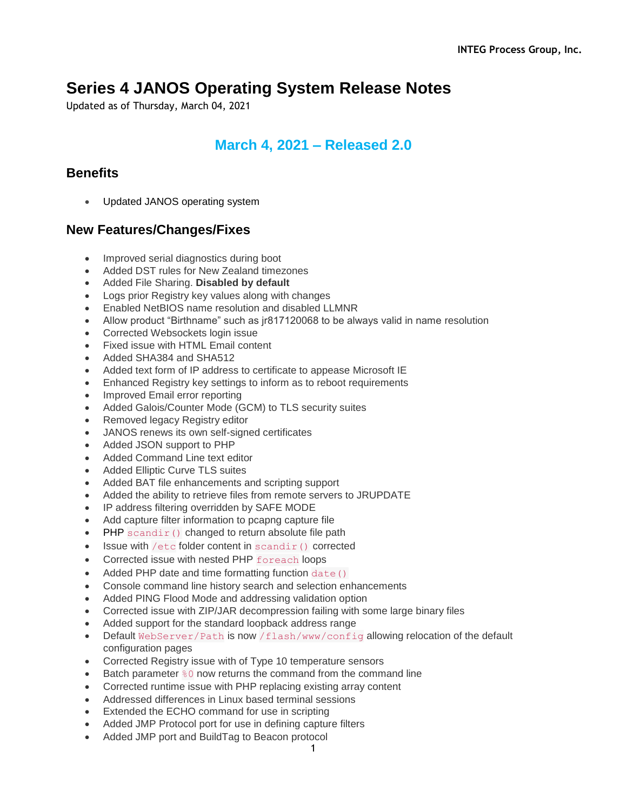# **Series 4 JANOS Operating System Release Notes**

Updated as of Thursday, March 04, 2021

## **March 4, 2021 – Released 2.0**

## **Benefits**

Updated JANOS operating system

- Improved serial diagnostics during boot
- Added DST rules for New Zealand timezones
- Added File Sharing. **Disabled by default**
- Logs prior Registry key values along with changes
- Enabled NetBIOS name resolution and disabled LLMNR
- Allow product "Birthname" such as jr817120068 to be always valid in name resolution
- Corrected Websockets login issue
- Fixed issue with HTML Email content
- Added SHA384 and SHA512
- Added text form of IP address to certificate to appease Microsoft IE
- Enhanced Registry key settings to inform as to reboot requirements
- Improved Email error reporting
- Added Galois/Counter Mode (GCM) to TLS security suites
- Removed legacy Registry editor
- JANOS renews its own self-signed certificates
- Added JSON support to PHP
- Added Command Line text editor
- Added Elliptic Curve TLS suites
- Added BAT file enhancements and scripting support
- Added the ability to retrieve files from remote servers to JRUPDATE
- IP address filtering overridden by SAFE MODE
- Add capture filter information to pcapng capture file
- PHP scandir() changed to return absolute file path
- $\bullet$  Issue with /etc folder content in scandir() corrected
- Corrected issue with nested PHP foreach loops
- Added PHP date and time formatting function date ()
- Console command line history search and selection enhancements
- Added PING Flood Mode and addressing validation option
- Corrected issue with ZIP/JAR decompression failing with some large binary files
- Added support for the standard loopback address range
- Default WebServer/Path is now /flash/www/config allowing relocation of the default configuration pages
- Corrected Registry issue with of Type 10 temperature sensors
- Eatch parameter  $\frac{1}{6}0$  now returns the command from the command line
- Corrected runtime issue with PHP replacing existing array content
- Addressed differences in Linux based terminal sessions
- Extended the ECHO command for use in scripting
- Added JMP Protocol port for use in defining capture filters
- Added JMP port and BuildTag to Beacon protocol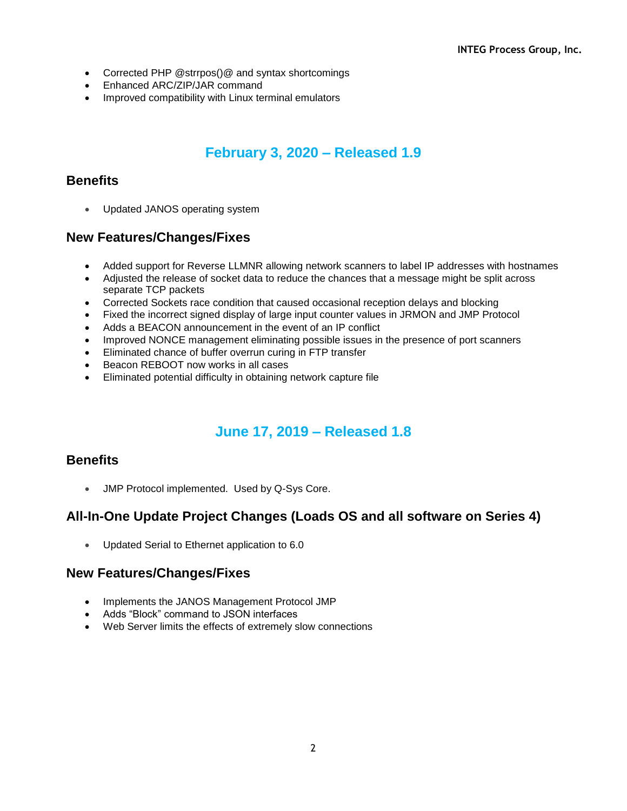- Corrected PHP @strrpos()@ and syntax shortcomings
- Enhanced ARC/ZIP/JAR command
- Improved compatibility with Linux terminal emulators

# **February 3, 2020 – Released 1.9**

### **Benefits**

• Updated JANOS operating system

### **New Features/Changes/Fixes**

- Added support for Reverse LLMNR allowing network scanners to label IP addresses with hostnames
- Adjusted the release of socket data to reduce the chances that a message might be split across separate TCP packets
- Corrected Sockets race condition that caused occasional reception delays and blocking
- Fixed the incorrect signed display of large input counter values in JRMON and JMP Protocol
- Adds a BEACON announcement in the event of an IP conflict
- Improved NONCE management eliminating possible issues in the presence of port scanners
- Eliminated chance of buffer overrun curing in FTP transfer
- Beacon REBOOT now works in all cases
- Eliminated potential difficulty in obtaining network capture file

# **June 17, 2019 – Released 1.8**

### **Benefits**

JMP Protocol implemented. Used by Q-Sys Core.

## **All-In-One Update Project Changes (Loads OS and all software on Series 4)**

Updated Serial to Ethernet application to 6.0

- Implements the JANOS Management Protocol JMP
- Adds "Block" command to JSON interfaces
- Web Server limits the effects of extremely slow connections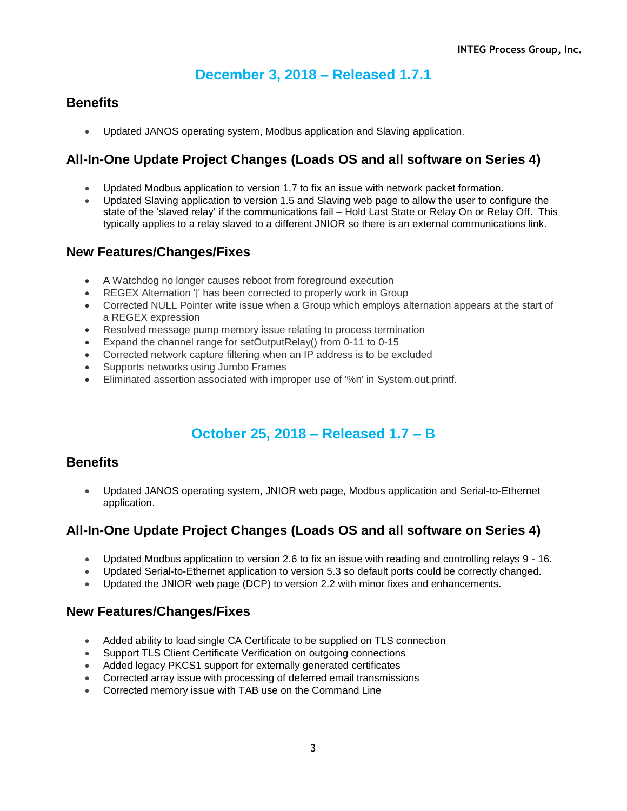# **December 3, 2018 – Released 1.7.1**

## **Benefits**

Updated JANOS operating system, Modbus application and Slaving application.

## **All-In-One Update Project Changes (Loads OS and all software on Series 4)**

- Updated Modbus application to version 1.7 to fix an issue with network packet formation.
- Updated Slaving application to version 1.5 and Slaving web page to allow the user to configure the state of the 'slaved relay' if the communications fail – Hold Last State or Relay On or Relay Off. This typically applies to a relay slaved to a different JNIOR so there is an external communications link.

### **New Features/Changes/Fixes**

- A Watchdog no longer causes reboot from foreground execution
- REGEX Alternation '|' has been corrected to properly work in Group
- Corrected NULL Pointer write issue when a Group which employs alternation appears at the start of a REGEX expression
- Resolved message pump memory issue relating to process termination
- Expand the channel range for setOutputRelay() from 0-11 to 0-15
- Corrected network capture filtering when an IP address is to be excluded
- Supports networks using Jumbo Frames
- Eliminated assertion associated with improper use of '%n' in System.out.printf.

# **October 25, 2018 – Released 1.7 – B**

#### **Benefits**

 Updated JANOS operating system, JNIOR web page, Modbus application and Serial-to-Ethernet application.

## **All-In-One Update Project Changes (Loads OS and all software on Series 4)**

- Updated Modbus application to version 2.6 to fix an issue with reading and controlling relays 9 16.
- Updated Serial-to-Ethernet application to version 5.3 so default ports could be correctly changed.
- Updated the JNIOR web page (DCP) to version 2.2 with minor fixes and enhancements.

- Added ability to load single CA Certificate to be supplied on TLS connection
- Support TLS Client Certificate Verification on outgoing connections
- Added legacy PKCS1 support for externally generated certificates
- Corrected array issue with processing of deferred email transmissions
- Corrected memory issue with TAB use on the Command Line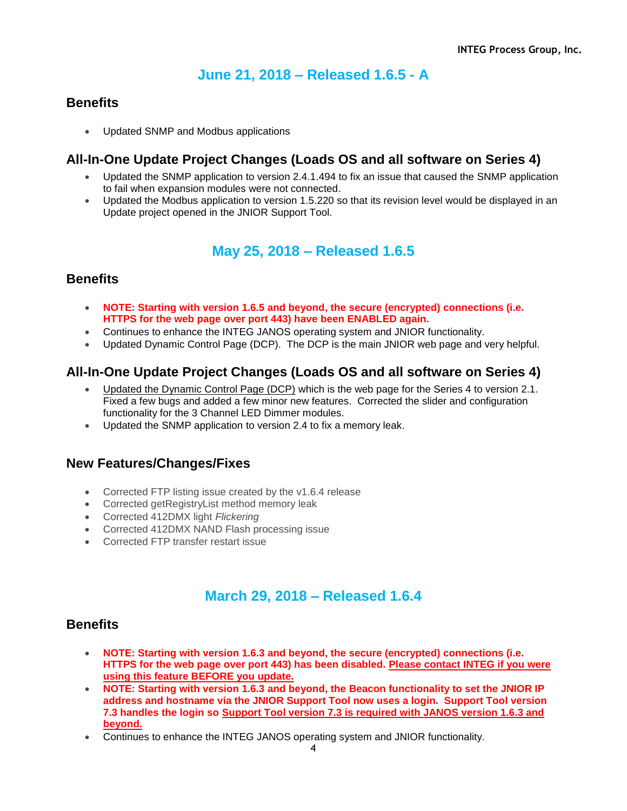# **June 21, 2018 – Released 1.6.5 - A**

### **Benefits**

Updated SNMP and Modbus applications

### **All-In-One Update Project Changes (Loads OS and all software on Series 4)**

- Updated the SNMP application to version 2.4.1.494 to fix an issue that caused the SNMP application to fail when expansion modules were not connected.
- Updated the Modbus application to version 1.5.220 so that its revision level would be displayed in an Update project opened in the JNIOR Support Tool.

## **May 25, 2018 – Released 1.6.5**

### **Benefits**

- **NOTE: Starting with version 1.6.5 and beyond, the secure (encrypted) connections (i.e. HTTPS for the web page over port 443) have been ENABLED again.**
- Continues to enhance the INTEG JANOS operating system and JNIOR functionality.
- Updated Dynamic Control Page (DCP). The DCP is the main JNIOR web page and very helpful.

### **All-In-One Update Project Changes (Loads OS and all software on Series 4)**

- Updated the Dynamic Control Page (DCP) which is the web page for the Series 4 to version 2.1. Fixed a few bugs and added a few minor new features. Corrected the slider and configuration functionality for the 3 Channel LED Dimmer modules.
- Updated the SNMP application to version 2.4 to fix a memory leak.

### **New Features/Changes/Fixes**

- Corrected FTP listing issue created by the v1.6.4 release
- Corrected getRegistryList method memory leak
- Corrected 412DMX light *Flickering*
- Corrected 412DMX NAND Flash processing issue
- Corrected FTP transfer restart issue

## **March 29, 2018 – Released 1.6.4**

#### **Benefits**

- **NOTE: Starting with version 1.6.3 and beyond, the secure (encrypted) connections (i.e. HTTPS for the web page over port 443) has been disabled. Please contact INTEG if you were using this feature BEFORE you update.**
- **NOTE: Starting with version 1.6.3 and beyond, the Beacon functionality to set the JNIOR IP address and hostname via the JNIOR Support Tool now uses a login. Support Tool version 7.3 handles the login so Support Tool version 7.3 is required with JANOS version 1.6.3 and beyond.**
- Continues to enhance the INTEG JANOS operating system and JNIOR functionality.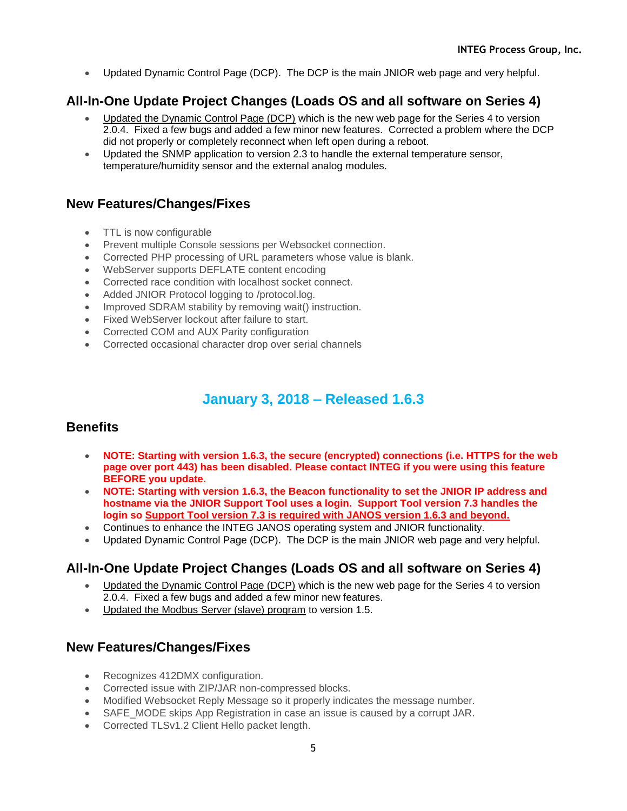Updated Dynamic Control Page (DCP). The DCP is the main JNIOR web page and very helpful.

## **All-In-One Update Project Changes (Loads OS and all software on Series 4)**

- Updated the Dynamic Control Page (DCP) which is the new web page for the Series 4 to version 2.0.4. Fixed a few bugs and added a few minor new features. Corrected a problem where the DCP did not properly or completely reconnect when left open during a reboot.
- Updated the SNMP application to version 2.3 to handle the external temperature sensor, temperature/humidity sensor and the external analog modules.

### **New Features/Changes/Fixes**

- TTL is now configurable
- Prevent multiple Console sessions per Websocket connection.
- Corrected PHP processing of URL parameters whose value is blank.
- WebServer supports DEFLATE content encoding
- Corrected race condition with localhost socket connect.
- Added JNIOR Protocol logging to /protocol.log.
- Improved SDRAM stability by removing wait() instruction.
- Fixed WebServer lockout after failure to start.
- Corrected COM and AUX Parity configuration
- Corrected occasional character drop over serial channels

## **January 3, 2018 – Released 1.6.3**

## **Benefits**

- **NOTE: Starting with version 1.6.3, the secure (encrypted) connections (i.e. HTTPS for the web page over port 443) has been disabled. Please contact INTEG if you were using this feature BEFORE you update.**
- **NOTE: Starting with version 1.6.3, the Beacon functionality to set the JNIOR IP address and hostname via the JNIOR Support Tool uses a login. Support Tool version 7.3 handles the login so Support Tool version 7.3 is required with JANOS version 1.6.3 and beyond.**
- Continues to enhance the INTEG JANOS operating system and JNIOR functionality.
- Updated Dynamic Control Page (DCP). The DCP is the main JNIOR web page and very helpful.

## **All-In-One Update Project Changes (Loads OS and all software on Series 4)**

- Updated the Dynamic Control Page (DCP) which is the new web page for the Series 4 to version 2.0.4. Fixed a few bugs and added a few minor new features.
- Updated the Modbus Server (slave) program to version 1.5.

- Recognizes 412DMX configuration.
- Corrected issue with ZIP/JAR non-compressed blocks.
- Modified Websocket Reply Message so it properly indicates the message number.
- SAFE\_MODE skips App Registration in case an issue is caused by a corrupt JAR.
- Corrected TLSv1.2 Client Hello packet length.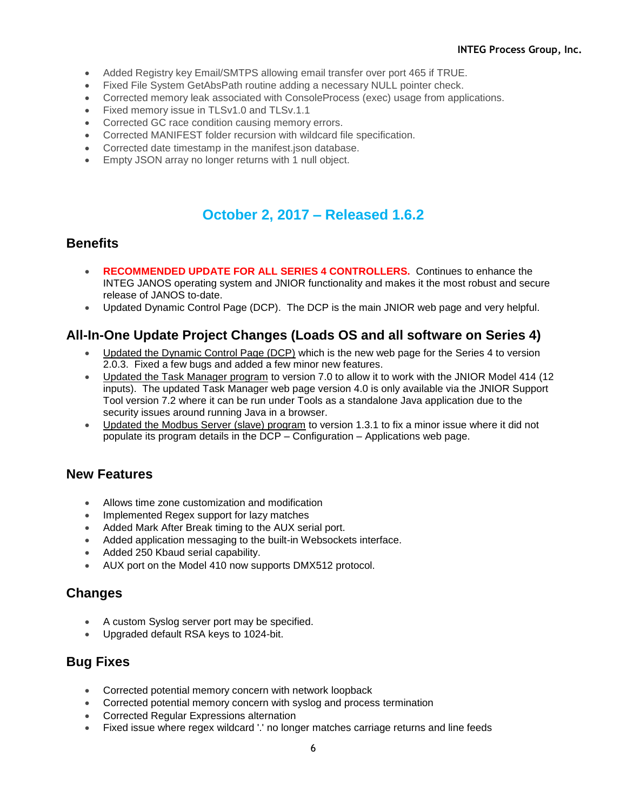- Added Registry key Email/SMTPS allowing email transfer over port 465 if TRUE.
- Fixed File System GetAbsPath routine adding a necessary NULL pointer check.
- Corrected memory leak associated with ConsoleProcess (exec) usage from applications.
- Fixed memory issue in TLSv1.0 and TLSv.1.1
- Corrected GC race condition causing memory errors.
- Corrected MANIFEST folder recursion with wildcard file specification.
- Corrected date timestamp in the manifest.json database.
- Empty JSON array no longer returns with 1 null object.

## **October 2, 2017 – Released 1.6.2**

#### **Benefits**

- **RECOMMENDED UPDATE FOR ALL SERIES 4 CONTROLLERS.** Continues to enhance the INTEG JANOS operating system and JNIOR functionality and makes it the most robust and secure release of JANOS to-date.
- Updated Dynamic Control Page (DCP). The DCP is the main JNIOR web page and very helpful.

### **All-In-One Update Project Changes (Loads OS and all software on Series 4)**

- Updated the Dynamic Control Page (DCP) which is the new web page for the Series 4 to version 2.0.3. Fixed a few bugs and added a few minor new features.
- Updated the Task Manager program to version 7.0 to allow it to work with the JNIOR Model 414 (12 inputs). The updated Task Manager web page version 4.0 is only available via the JNIOR Support Tool version 7.2 where it can be run under Tools as a standalone Java application due to the security issues around running Java in a browser.
- Updated the Modbus Server (slave) program to version 1.3.1 to fix a minor issue where it did not populate its program details in the DCP – Configuration – Applications web page.

#### **New Features**

- Allows time zone customization and modification
- Implemented Regex support for lazy matches
- Added Mark After Break timing to the AUX serial port.
- Added application messaging to the built-in Websockets interface.
- Added 250 Kbaud serial capability.
- AUX port on the Model 410 now supports DMX512 protocol.

#### **Changes**

- A custom Syslog server port may be specified.
- Upgraded default RSA keys to 1024-bit.

- Corrected potential memory concern with network loopback
- Corrected potential memory concern with syslog and process termination
- Corrected Regular Expressions alternation
- Fixed issue where regex wildcard '.' no longer matches carriage returns and line feeds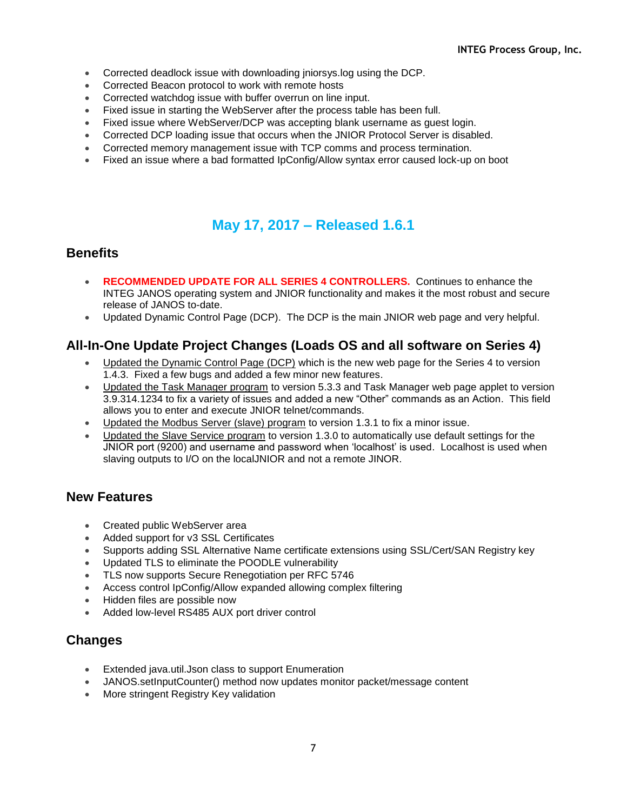- Corrected deadlock issue with downloading jniorsys.log using the DCP.
- Corrected Beacon protocol to work with remote hosts
- Corrected watchdog issue with buffer overrun on line input.
- Fixed issue in starting the WebServer after the process table has been full.
- Fixed issue where WebServer/DCP was accepting blank username as guest login.
- Corrected DCP loading issue that occurs when the JNIOR Protocol Server is disabled.
- Corrected memory management issue with TCP comms and process termination.
- Fixed an issue where a bad formatted IpConfig/Allow syntax error caused lock-up on boot

# **May 17, 2017 – Released 1.6.1**

#### **Benefits**

- **RECOMMENDED UPDATE FOR ALL SERIES 4 CONTROLLERS.** Continues to enhance the INTEG JANOS operating system and JNIOR functionality and makes it the most robust and secure release of JANOS to-date.
- Updated Dynamic Control Page (DCP). The DCP is the main JNIOR web page and very helpful.

## **All-In-One Update Project Changes (Loads OS and all software on Series 4)**

- Updated the Dynamic Control Page (DCP) which is the new web page for the Series 4 to version 1.4.3. Fixed a few bugs and added a few minor new features.
- Updated the Task Manager program to version 5.3.3 and Task Manager web page applet to version 3.9.314.1234 to fix a variety of issues and added a new "Other" commands as an Action. This field allows you to enter and execute JNIOR telnet/commands.
- Updated the Modbus Server (slave) program to version 1.3.1 to fix a minor issue.
- Updated the Slave Service program to version 1.3.0 to automatically use default settings for the JNIOR port (9200) and username and password when 'localhost' is used. Localhost is used when slaving outputs to I/O on the localJNIOR and not a remote JINOR.

#### **New Features**

- Created public WebServer area
- Added support for v3 SSL Certificates
- Supports adding SSL Alternative Name certificate extensions using SSL/Cert/SAN Registry key
- Updated TLS to eliminate the POODLE vulnerability
- TLS now supports Secure Renegotiation per RFC 5746
- Access control IpConfig/Allow expanded allowing complex filtering
- Hidden files are possible now
- Added low-level RS485 AUX port driver control

### **Changes**

- Extended java.util.Json class to support Enumeration
- JANOS.setInputCounter() method now updates monitor packet/message content
- **More stringent Registry Key validation**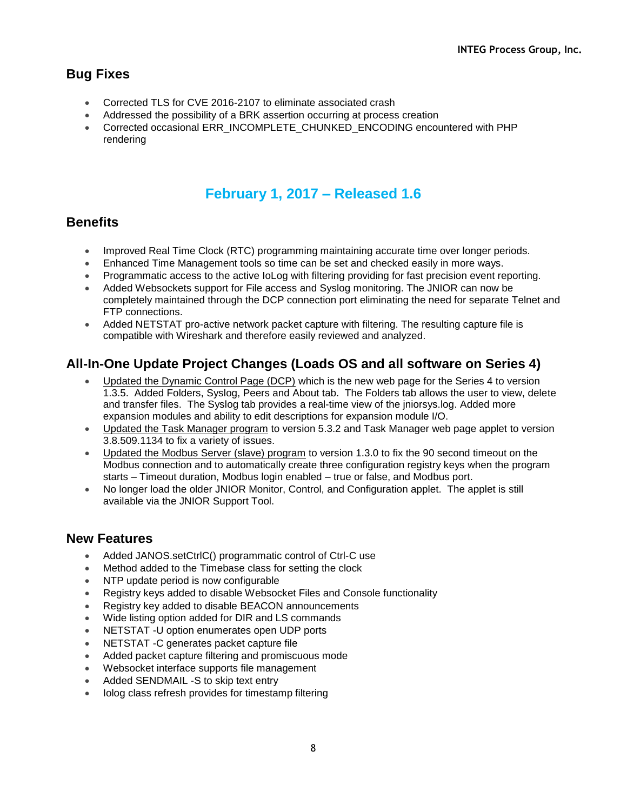## **Bug Fixes**

- Corrected TLS for CVE 2016-2107 to eliminate associated crash
- Addressed the possibility of a BRK assertion occurring at process creation
- Corrected occasional ERR\_INCOMPLETE\_CHUNKED\_ENCODING encountered with PHP rendering

# **February 1, 2017 – Released 1.6**

## **Benefits**

- Improved Real Time Clock (RTC) programming maintaining accurate time over longer periods.
- Enhanced Time Management tools so time can be set and checked easily in more ways.
- Programmatic access to the active IoLog with filtering providing for fast precision event reporting.
- Added Websockets support for File access and Syslog monitoring. The JNIOR can now be completely maintained through the DCP connection port eliminating the need for separate Telnet and FTP connections.
- Added NETSTAT pro-active network packet capture with filtering. The resulting capture file is compatible with Wireshark and therefore easily reviewed and analyzed.

## **All-In-One Update Project Changes (Loads OS and all software on Series 4)**

- Updated the Dynamic Control Page (DCP) which is the new web page for the Series 4 to version 1.3.5. Added Folders, Syslog, Peers and About tab. The Folders tab allows the user to view, delete and transfer files. The Syslog tab provides a real-time view of the jniorsys.log. Added more expansion modules and ability to edit descriptions for expansion module I/O.
- Updated the Task Manager program to version 5.3.2 and Task Manager web page applet to version 3.8.509.1134 to fix a variety of issues.
- Updated the Modbus Server (slave) program to version 1.3.0 to fix the 90 second timeout on the Modbus connection and to automatically create three configuration registry keys when the program starts – Timeout duration, Modbus login enabled – true or false, and Modbus port.
- No longer load the older JNIOR Monitor, Control, and Configuration applet. The applet is still available via the JNIOR Support Tool.

- Added JANOS.setCtrlC() programmatic control of Ctrl-C use
- Method added to the Timebase class for setting the clock
- NTP update period is now configurable
- Registry keys added to disable Websocket Files and Console functionality
- Registry key added to disable BEACON announcements
- Wide listing option added for DIR and LS commands
- NETSTAT -U option enumerates open UDP ports
- NETSTAT -C generates packet capture file
- Added packet capture filtering and promiscuous mode
- Websocket interface supports file management
- Added SENDMAIL -S to skip text entry
- Iolog class refresh provides for timestamp filtering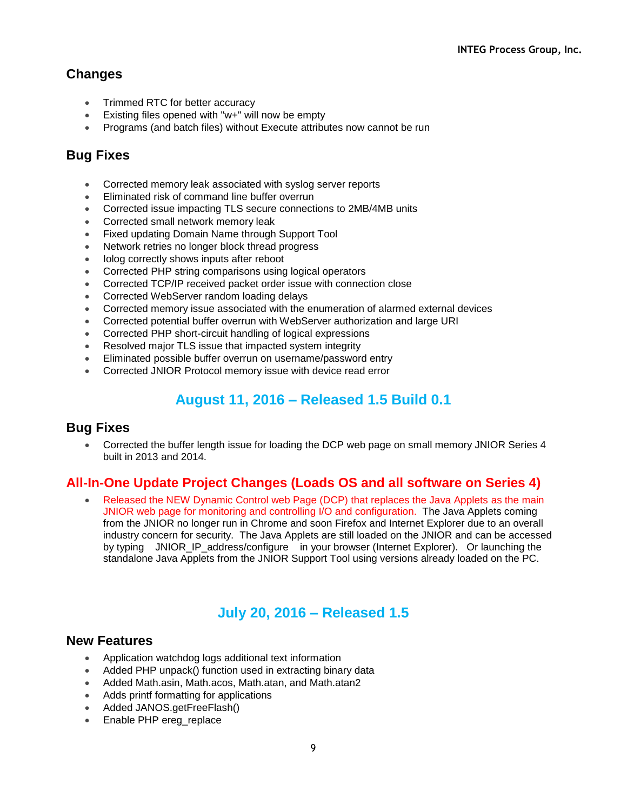- Trimmed RTC for better accuracy
- Existing files opened with "w+" will now be empty
- Programs (and batch files) without Execute attributes now cannot be run

## **Bug Fixes**

- Corrected memory leak associated with syslog server reports
- Eliminated risk of command line buffer overrun
- Corrected issue impacting TLS secure connections to 2MB/4MB units
- Corrected small network memory leak
- Fixed updating Domain Name through Support Tool
- Network retries no longer block thread progress
- Iolog correctly shows inputs after reboot
- Corrected PHP string comparisons using logical operators
- Corrected TCP/IP received packet order issue with connection close
- Corrected WebServer random loading delays
- Corrected memory issue associated with the enumeration of alarmed external devices
- Corrected potential buffer overrun with WebServer authorization and large URI
- Corrected PHP short-circuit handling of logical expressions
- Resolved major TLS issue that impacted system integrity
- Eliminated possible buffer overrun on username/password entry
- Corrected JNIOR Protocol memory issue with device read error

# **August 11, 2016 – Released 1.5 Build 0.1**

#### **Bug Fixes**

 Corrected the buffer length issue for loading the DCP web page on small memory JNIOR Series 4 built in 2013 and 2014.

## **All-In-One Update Project Changes (Loads OS and all software on Series 4)**

 Released the NEW Dynamic Control web Page (DCP) that replaces the Java Applets as the main JNIOR web page for monitoring and controlling I/O and configuration. The Java Applets coming from the JNIOR no longer run in Chrome and soon Firefox and Internet Explorer due to an overall industry concern for security. The Java Applets are still loaded on the JNIOR and can be accessed by typing JNIOR\_IP\_address/configure in your browser (Internet Explorer). Or launching the standalone Java Applets from the JNIOR Support Tool using versions already loaded on the PC.

## **July 20, 2016 – Released 1.5**

- Application watchdog logs additional text information
- Added PHP unpack() function used in extracting binary data
- Added Math.asin, Math.acos, Math.atan, and Math.atan2
- Adds printf formatting for applications
- Added JANOS.getFreeFlash()
- Enable PHP ereg\_replace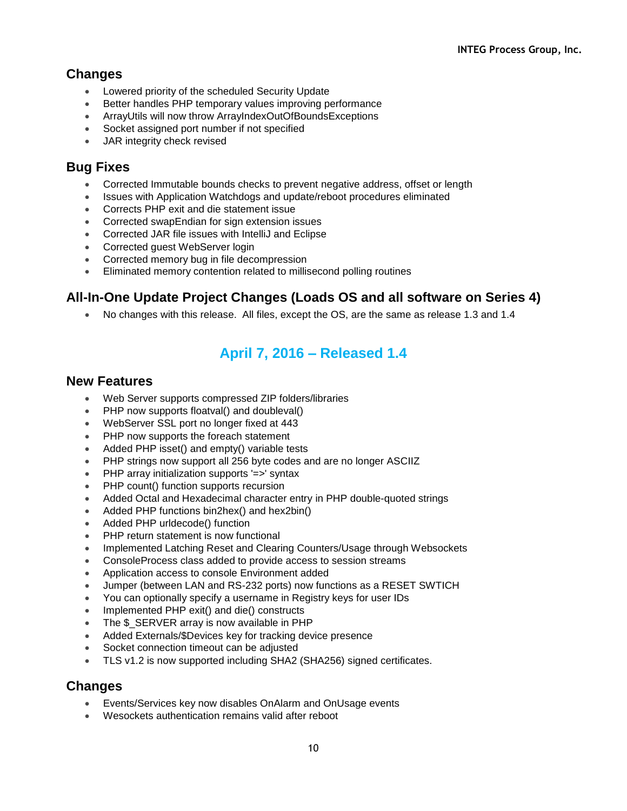- Lowered priority of the scheduled Security Update
- Better handles PHP temporary values improving performance
- ArrayUtils will now throw ArrayIndexOutOfBoundsExceptions
- Socket assigned port number if not specified
- JAR integrity check revised

### **Bug Fixes**

- Corrected Immutable bounds checks to prevent negative address, offset or length
- Issues with Application Watchdogs and update/reboot procedures eliminated
- Corrects PHP exit and die statement issue
- Corrected swapEndian for sign extension issues
- Corrected JAR file issues with IntelliJ and Eclipse
- Corrected guest WebServer login
- Corrected memory bug in file decompression
- Eliminated memory contention related to millisecond polling routines

## **All-In-One Update Project Changes (Loads OS and all software on Series 4)**

No changes with this release. All files, except the OS, are the same as release 1.3 and 1.4

# **April 7, 2016 – Released 1.4**

### **New Features**

- Web Server supports compressed ZIP folders/libraries
- PHP now supports floatval() and doubleval()
- WebServer SSL port no longer fixed at 443
- PHP now supports the foreach statement
- Added PHP isset() and empty() variable tests
- PHP strings now support all 256 byte codes and are no longer ASCIIZ
- PHP array initialization supports '=>' syntax
- PHP count() function supports recursion
- Added Octal and Hexadecimal character entry in PHP double-quoted strings
- Added PHP functions bin2hex() and hex2bin()
- Added PHP urldecode() function
- PHP return statement is now functional
- Implemented Latching Reset and Clearing Counters/Usage through Websockets
- ConsoleProcess class added to provide access to session streams
- Application access to console Environment added
- Jumper (between LAN and RS-232 ports) now functions as a RESET SWTICH
- You can optionally specify a username in Registry keys for user IDs
- Implemented PHP exit() and die() constructs
- The \$ SERVER array is now available in PHP
- Added Externals/\$Devices key for tracking device presence
- Socket connection timeout can be adjusted
- TLS v1.2 is now supported including SHA2 (SHA256) signed certificates.

### **Changes**

- Events/Services key now disables OnAlarm and OnUsage events
- Wesockets authentication remains valid after reboot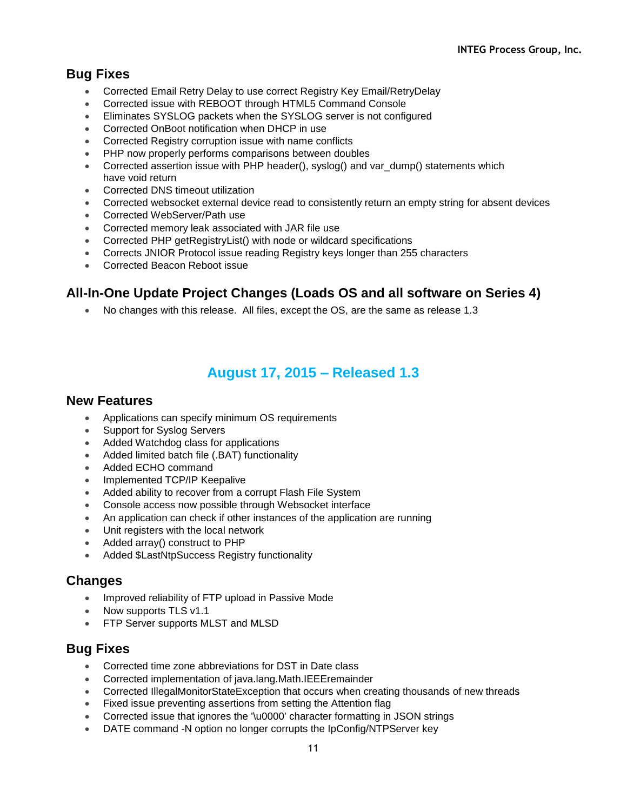## **Bug Fixes**

- Corrected Email Retry Delay to use correct Registry Key Email/RetryDelay
- Corrected issue with REBOOT through HTML5 Command Console
- Eliminates SYSLOG packets when the SYSLOG server is not configured
- Corrected OnBoot notification when DHCP in use
- Corrected Registry corruption issue with name conflicts
- PHP now properly performs comparisons between doubles
- Corrected assertion issue with PHP header(), syslog() and var\_dump() statements which have void return
- Corrected DNS timeout utilization
- Corrected websocket external device read to consistently return an empty string for absent devices
- Corrected WebServer/Path use
- Corrected memory leak associated with JAR file use
- Corrected PHP getRegistryList() with node or wildcard specifications
- Corrects JNIOR Protocol issue reading Registry keys longer than 255 characters
- Corrected Beacon Reboot issue

### **All-In-One Update Project Changes (Loads OS and all software on Series 4)**

No changes with this release. All files, except the OS, are the same as release 1.3

## **August 17, 2015 – Released 1.3**

#### **New Features**

- Applications can specify minimum OS requirements
- Support for Syslog Servers
- Added Watchdog class for applications
- Added limited batch file (.BAT) functionality
- Added ECHO command
- Implemented TCP/IP Keepalive
- Added ability to recover from a corrupt Flash File System
- Console access now possible through Websocket interface
- An application can check if other instances of the application are running
- Unit registers with the local network
- Added array() construct to PHP
- Added \$LastNtpSuccess Registry functionality

#### **Changes**

- Improved reliability of FTP upload in Passive Mode
- Now supports TLS v1.1
- FTP Server supports MLST and MLSD

- Corrected time zone abbreviations for DST in Date class
- Corrected implementation of java.lang.Math.IEEEremainder
- Corrected IllegalMonitorStateException that occurs when creating thousands of new threads
- Fixed issue preventing assertions from setting the Attention flag
- Corrected issue that ignores the '\u0000' character formatting in JSON strings
- DATE command -N option no longer corrupts the IpConfig/NTPServer key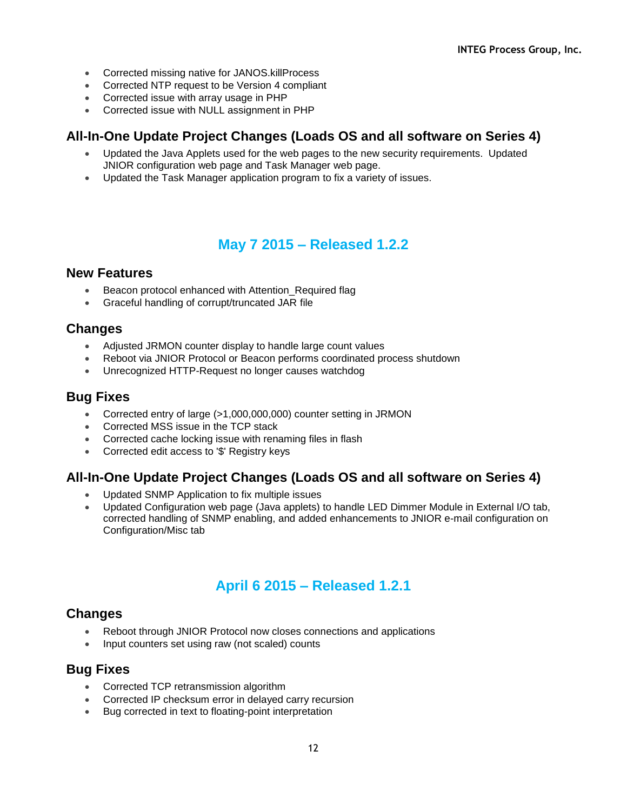- Corrected missing native for JANOS.killProcess
- Corrected NTP request to be Version 4 compliant
- Corrected issue with array usage in PHP
- Corrected issue with NULL assignment in PHP

### **All-In-One Update Project Changes (Loads OS and all software on Series 4)**

- Updated the Java Applets used for the web pages to the new security requirements. Updated JNIOR configuration web page and Task Manager web page.
- Updated the Task Manager application program to fix a variety of issues.

# **May 7 2015 – Released 1.2.2**

#### **New Features**

- Beacon protocol enhanced with Attention\_Required flag
- Graceful handling of corrupt/truncated JAR file

### **Changes**

- Adjusted JRMON counter display to handle large count values
- Reboot via JNIOR Protocol or Beacon performs coordinated process shutdown
- Unrecognized HTTP-Request no longer causes watchdog

### **Bug Fixes**

- Corrected entry of large (>1,000,000,000) counter setting in JRMON
- Corrected MSS issue in the TCP stack
- Corrected cache locking issue with renaming files in flash
- Corrected edit access to '\$' Registry keys

## **All-In-One Update Project Changes (Loads OS and all software on Series 4)**

- Updated SNMP Application to fix multiple issues
- Updated Configuration web page (Java applets) to handle LED Dimmer Module in External I/O tab, corrected handling of SNMP enabling, and added enhancements to JNIOR e-mail configuration on Configuration/Misc tab

# **April 6 2015 – Released 1.2.1**

### **Changes**

- Reboot through JNIOR Protocol now closes connections and applications
- Input counters set using raw (not scaled) counts

- Corrected TCP retransmission algorithm
- Corrected IP checksum error in delayed carry recursion
- Bug corrected in text to floating-point interpretation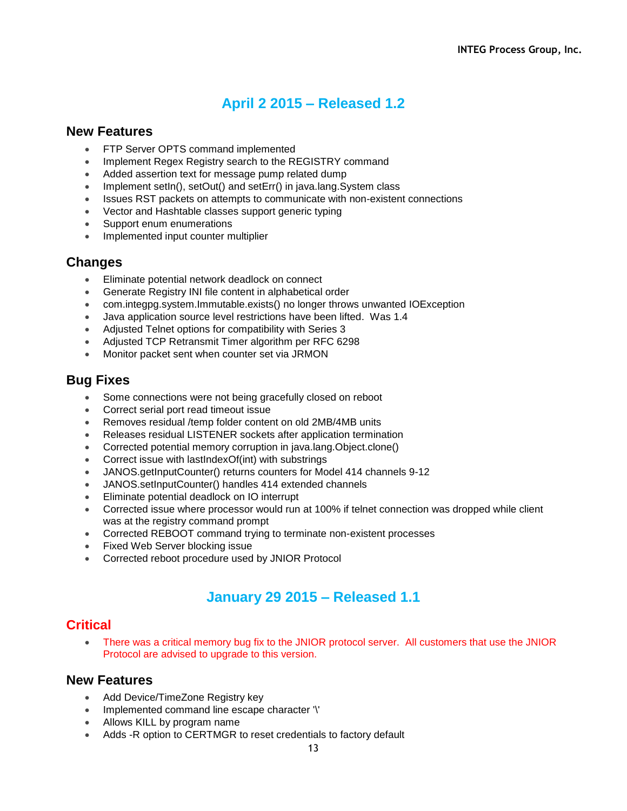## **April 2 2015 – Released 1.2**

#### **New Features**

- FTP Server OPTS command implemented
- Implement Regex Registry search to the REGISTRY command
- Added assertion text for message pump related dump
- Implement setIn(), setOut() and setErr() in java.lang.System class
- Issues RST packets on attempts to communicate with non-existent connections
- Vector and Hashtable classes support generic typing
- Support enum enumerations
- Implemented input counter multiplier

#### **Changes**

- Eliminate potential network deadlock on connect
- Generate Registry INI file content in alphabetical order
- com.integpg.system.Immutable.exists() no longer throws unwanted IOException
- Java application source level restrictions have been lifted. Was 1.4
- Adjusted Telnet options for compatibility with Series 3
- Adjusted TCP Retransmit Timer algorithm per RFC 6298
- Monitor packet sent when counter set via JRMON

### **Bug Fixes**

- Some connections were not being gracefully closed on reboot
- Correct serial port read timeout issue
- Removes residual /temp folder content on old 2MB/4MB units
- Releases residual LISTENER sockets after application termination
- Corrected potential memory corruption in java.lang.Object.clone()
- Correct issue with lastIndexOf(int) with substrings
- JANOS.getInputCounter() returns counters for Model 414 channels 9-12
- JANOS.setInputCounter() handles 414 extended channels
- Eliminate potential deadlock on IO interrupt
- Corrected issue where processor would run at 100% if telnet connection was dropped while client was at the registry command prompt
- Corrected REBOOT command trying to terminate non-existent processes
- Fixed Web Server blocking issue
- Corrected reboot procedure used by JNIOR Protocol

## **January 29 2015 – Released 1.1**

#### **Critical**

 There was a critical memory bug fix to the JNIOR protocol server. All customers that use the JNIOR Protocol are advised to upgrade to this version.

- Add Device/TimeZone Registry key
- Implemented command line escape character '\'
- Allows KILL by program name
- Adds -R option to CERTMGR to reset credentials to factory default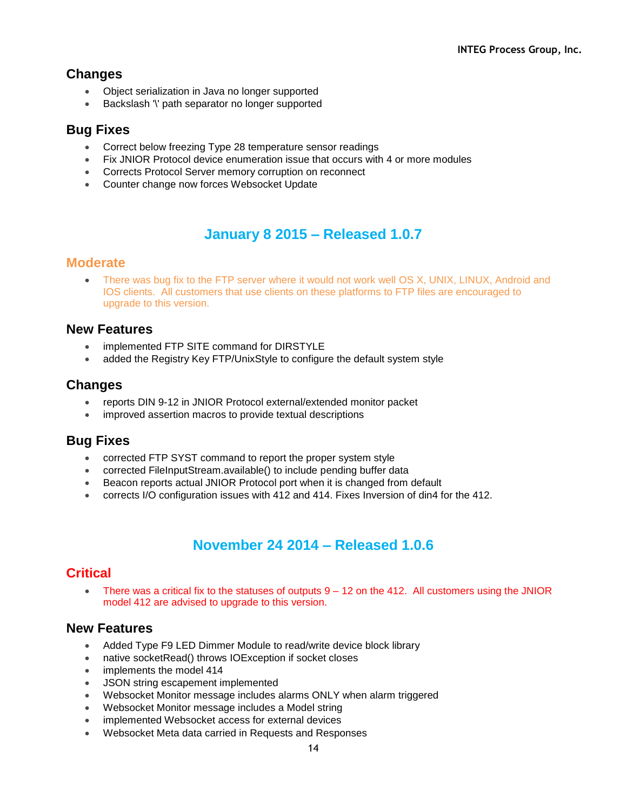- Object serialization in Java no longer supported
- Backslash '\' path separator no longer supported

### **Bug Fixes**

- Correct below freezing Type 28 temperature sensor readings
- Fix JNIOR Protocol device enumeration issue that occurs with 4 or more modules
- Corrects Protocol Server memory corruption on reconnect
- Counter change now forces Websocket Update

## **January 8 2015 – Released 1.0.7**

#### **Moderate**

• There was bug fix to the FTP server where it would not work well OS X, UNIX, LINUX, Android and IOS clients. All customers that use clients on these platforms to FTP files are encouraged to upgrade to this version.

#### **New Features**

- implemented FTP SITE command for DIRSTYLE
- added the Registry Key FTP/UnixStyle to configure the default system style

### **Changes**

- reports DIN 9-12 in JNIOR Protocol external/extended monitor packet
- improved assertion macros to provide textual descriptions

#### **Bug Fixes**

- corrected FTP SYST command to report the proper system style
- corrected FileInputStream.available() to include pending buffer data
- Beacon reports actual JNIOR Protocol port when it is changed from default
- corrects I/O configuration issues with 412 and 414. Fixes Inversion of din4 for the 412.

# **November 24 2014 – Released 1.0.6**

#### **Critical**

• There was a critical fix to the statuses of outputs  $9 - 12$  on the 412. All customers using the JNIOR model 412 are advised to upgrade to this version.

- Added Type F9 LED Dimmer Module to read/write device block library
- native socketRead() throws IOException if socket closes
- implements the model 414
- JSON string escapement implemented
- Websocket Monitor message includes alarms ONLY when alarm triggered
- Websocket Monitor message includes a Model string
- implemented Websocket access for external devices
- Websocket Meta data carried in Requests and Responses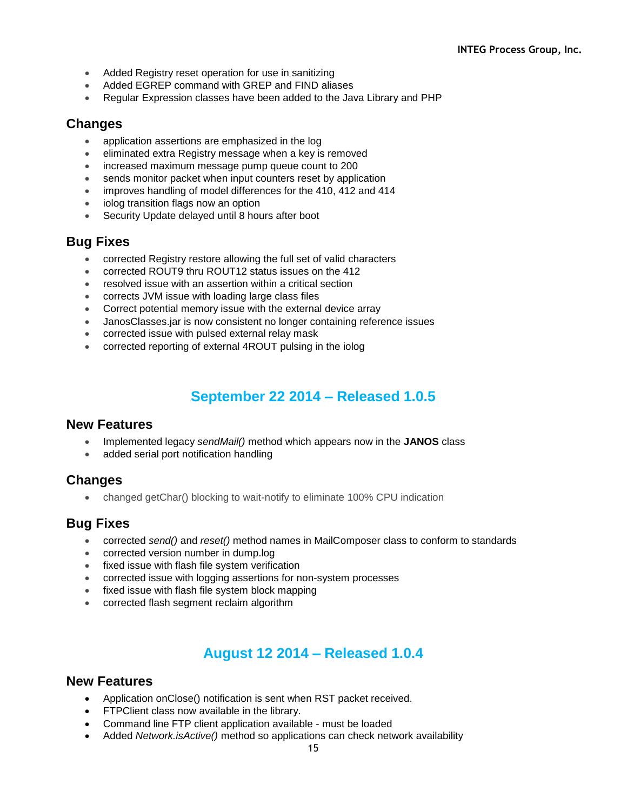- Added Registry reset operation for use in sanitizing
- Added EGREP command with GREP and FIND aliases
- Regular Expression classes have been added to the Java Library and PHP

- application assertions are emphasized in the log
- eliminated extra Registry message when a key is removed
- increased maximum message pump queue count to 200
- sends monitor packet when input counters reset by application
- improves handling of model differences for the 410, 412 and 414
- iolog transition flags now an option
- Security Update delayed until 8 hours after boot

#### **Bug Fixes**

- corrected Registry restore allowing the full set of valid characters
- corrected ROUT9 thru ROUT12 status issues on the 412
- resolved issue with an assertion within a critical section
- corrects JVM issue with loading large class files
- Correct potential memory issue with the external device array
- JanosClasses.jar is now consistent no longer containing reference issues
- corrected issue with pulsed external relay mask
- corrected reporting of external 4ROUT pulsing in the iolog

## **September 22 2014 – Released 1.0.5**

#### **New Features**

- Implemented legacy *sendMail()* method which appears now in the **JANOS** class
- added serial port notification handling

#### **Changes**

changed getChar() blocking to wait-notify to eliminate 100% CPU indication

#### **Bug Fixes**

- corrected *send()* and *reset()* method names in MailComposer class to conform to standards
- corrected version number in dump.log
- fixed issue with flash file system verification
- corrected issue with logging assertions for non-system processes
- fixed issue with flash file system block mapping
- corrected flash segment reclaim algorithm

# **August 12 2014 – Released 1.0.4**

- Application onClose() notification is sent when RST packet received.
- **•** FTPClient class now available in the library.
- Command line FTP client application available must be loaded
- Added *Network.isActive()* method so applications can check network availability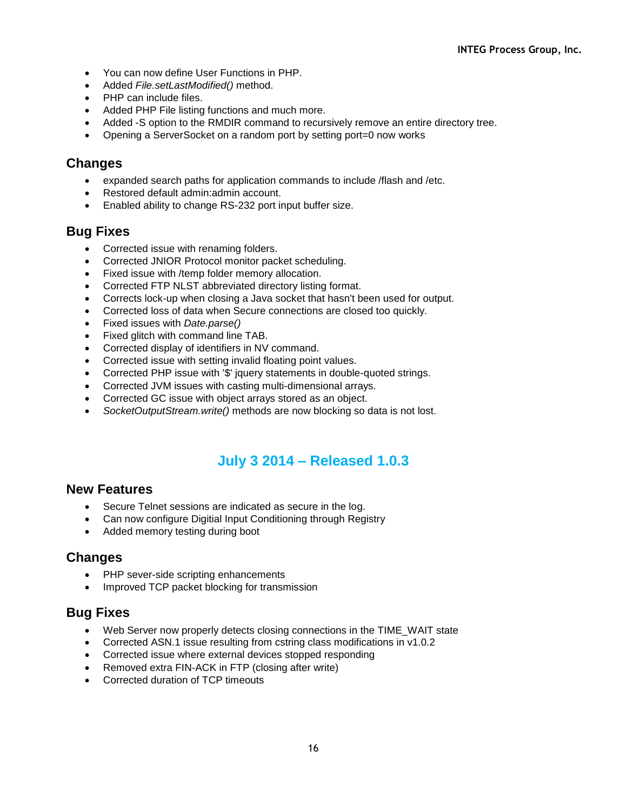- You can now define User Functions in PHP.
- Added *File.setLastModified()* method.
- PHP can include files.
- Added PHP File listing functions and much more.
- Added -S option to the RMDIR command to recursively remove an entire directory tree.
- Opening a ServerSocket on a random port by setting port=0 now works

- expanded search paths for application commands to include /flash and /etc.
- Restored default admin: admin account.
- Enabled ability to change RS-232 port input buffer size.

## **Bug Fixes**

- Corrected issue with renaming folders.
- Corrected JNIOR Protocol monitor packet scheduling.
- Fixed issue with /temp folder memory allocation.
- Corrected FTP NLST abbreviated directory listing format.
- Corrects lock-up when closing a Java socket that hasn't been used for output.
- Corrected loss of data when Secure connections are closed too quickly.
- Fixed issues with *Date.parse()*
- Fixed glitch with command line TAB.
- Corrected display of identifiers in NV command.
- Corrected issue with setting invalid floating point values.
- Corrected PHP issue with '\$' jquery statements in double-quoted strings.
- Corrected JVM issues with casting multi-dimensional arrays.
- Corrected GC issue with object arrays stored as an object.
- *SocketOutputStream.write()* methods are now blocking so data is not lost.

# **July 3 2014 – Released 1.0.3**

#### **New Features**

- Secure Telnet sessions are indicated as secure in the log.
- Can now configure Digitial Input Conditioning through Registry
- Added memory testing during boot

#### **Changes**

- PHP sever-side scripting enhancements
- Improved TCP packet blocking for transmission

- Web Server now properly detects closing connections in the TIME\_WAIT state
- Corrected ASN.1 issue resulting from cstring class modifications in v1.0.2
- Corrected issue where external devices stopped responding
- Removed extra FIN-ACK in FTP (closing after write)
- Corrected duration of TCP timeouts